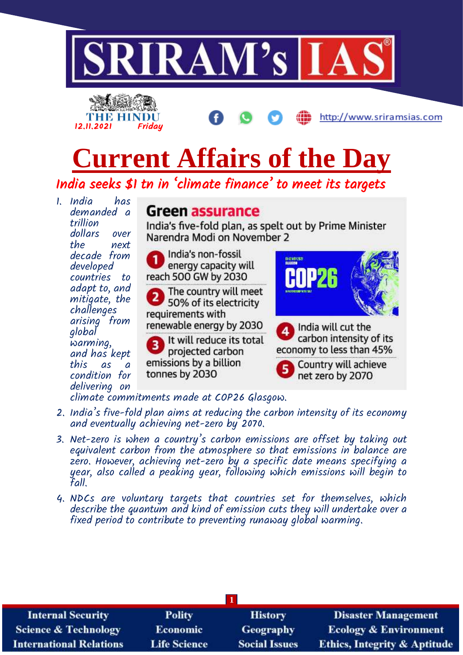

climate commitments made at COP26 Glasgow.

- 2. India's five-fold plan aims at reducing the carbon intensity of its economy and eventually achieving net-zero by 2070.
- 3. Net-zero is when a country's carbon emissions are offset by taking out equivalent carbon from the atmosphere so that emissions in balance are zero. However, achieving net-zero by a specific date means specifying a year, also called a peaking year, following which emissions will begin to fall.
- 4. NDCs are voluntary targets that countries set for themselves, which describe the quantum and kind of emission cuts they will undertake over a fixed period to contribute to preventing runaway global warming.

| <b>Internal Security</b>        | <b>Polity</b>       | <b>History</b>       | <b>Disaster Management</b>              |
|---------------------------------|---------------------|----------------------|-----------------------------------------|
| <b>Science &amp; Technology</b> | <b>Economic</b>     | <b>Geography</b>     | <b>Ecology &amp; Environment</b>        |
| <b>International Relations</b>  | <b>Life Science</b> | <b>Social Issues</b> | <b>Ethics, Integrity &amp; Aptitude</b> |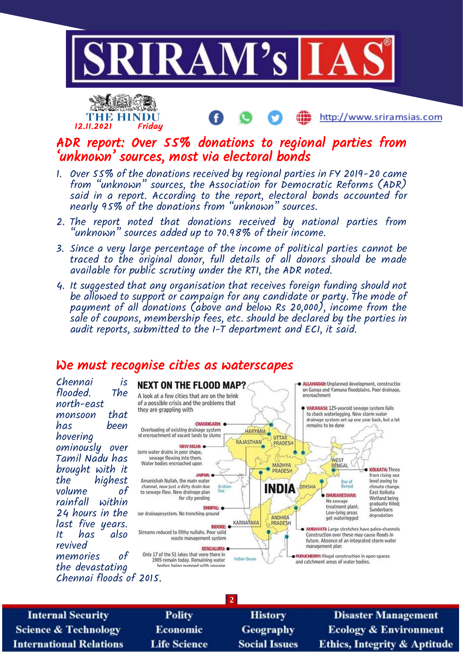



http://www.sriramsias.com

## ADR report: Over 55% donations to regional parties from 'unknown' sources, most via electoral bonds

- 1. Over 55% of the donations received by regional parties in FY 2019-20 came from "unknown" sources, the Association for Democratic Reforms (ADR) said in a report. According to the report, electoral bonds accounted for nearly 95% of the donations from "unknown" sources.
- 2. The report noted that donations received by national parties from  $\lq$ unknown" sources added up to 70.98% of their income.
- 3. Since a very large percentage of the income of political parties cannot be traced to the original donor, full details of all donors should be made available for public scrutiny under the RTI, the ADR noted.
- 4. It suggested that any organisation that receives foreign funding should not be allowed to support or campaign for any candidate or party. The mode of payment of all donations (above and below Rs 20,000), income from the sale of coupons, membership fees, etc. should be declared by the parties in audit reports, submitted to the I-T department and ECI, it said.

# We must recognise cities as waterscapes



**2**

**Internal Security Science & Technology International Relations** 

**Polity** Economic **Life Science** 

History Geography **Social Issues** 

**Disaster Management Ecology & Environment Ethics, Integrity & Aptitude**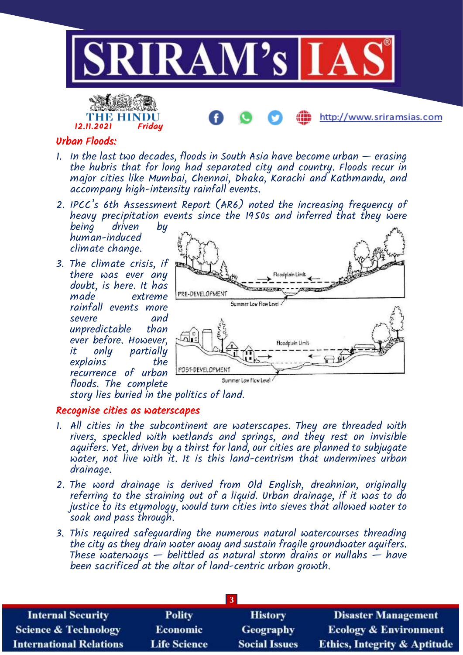



http://www.sriramsias.com

### Urban Floods:

- 1. In the last two decades, floods in South Asia have become urban  $-$  erasing the hubris that for long had separated city and country. Floods recur in major cities like Mumbai, Chennai, Dhaka, Karachi and Kathmandu, and accompany high-intensity rainfall events.
- 2. IPCC's 6th Assessment Report (AR6) noted the increasing frequency of heavy precipitation events since the 1950s and inferred that they were being driven by

human-induced climate change.

3. The climate crisis, if there was ever any doubt, is here. It has extreme rainfall events more severe and unpredictable ever before. However, it only partially explains recurrence of urban floods. The complete



story lies buried in the politics of land.

#### Recognise cities as waterscapes

1. All cities in the subcontinent are waterscapes. They are threaded with rivers, speckled with wetlands and springs, and they rest on invisible aquifers. Yet, driven by a thirst for land, our cities are planned to subjugate water, not live with it. It is this land-centrism that undermines urban drainage.

Summer Low Flow Level

- 2. The word drainage is derived from Old English, dreahnian, originally referring to the straining out of a liguid. Urban drainage, if it was to do justice to its etymology, would turn cities into sieves that allowed water to soak and pass through.
- 3. This required safeguarding the numerous natural watercourses threading the city as they drain water away and sustain fragile groundwater aquifers. These waterways  $-$  belittled as natural storm drains or nullahs  $-$  have been sacrificed at the altar of land-centric urban growth.

| <b>Internal Security</b>        | <b>Polity</b>       | <b>History</b>       | <b>Disaster Management</b>              |
|---------------------------------|---------------------|----------------------|-----------------------------------------|
| <b>Science &amp; Technology</b> | <b>Economic</b>     | <b>Geography</b>     | <b>Ecology &amp; Environment</b>        |
| <b>International Relations</b>  | <b>Life Science</b> | <b>Social Issues</b> | <b>Ethics, Integrity &amp; Aptitude</b> |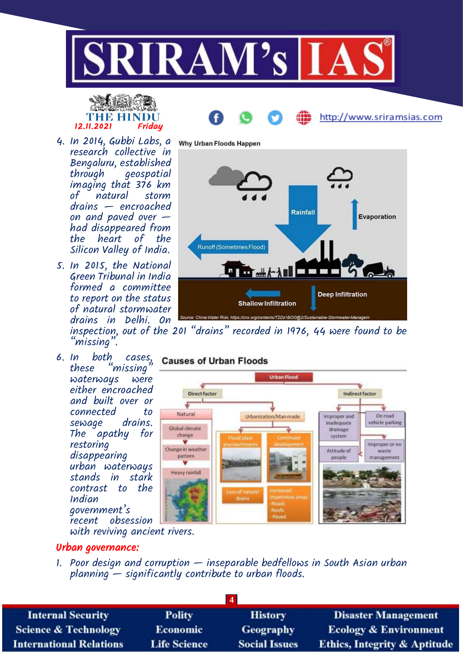



Why Urban Floods Happen

- 4. In 2014, Gubbi Labs, a research collective in Bengaluru, established geospatial imaging that 376 km of natural storm drains — encroached on and paved over had disappeared from the heart of the Silicon Valley of India.
- 5. In 2015, the National Green Tribunal in India formed a committee to report on the status of natural stormwater drains in Delhi. On "missing".
- 6. In both cases, these "missing waterways were either encroached and built over or connected to<br>sewage drains. sewage The apathy for restoring disappearing urban waterways stands in stark contrast to the Indian government's recent obsession



http://www.sriramsias.com

inspection, out of the 201 "drains" recorded in 1976, 44 were found to be

#### **Causes of Urban Floods**



with reviving ancient rivers.

#### Urban governance:

1. Poor design and corruption — inseparable bedfellows in South Asian urban  $planning - signification$ tly contribute to urban floods.

| <b>Internal Security</b>        | <b>Polity</b>       | <b>History</b>       | <b>Disaster Management</b>              |
|---------------------------------|---------------------|----------------------|-----------------------------------------|
| <b>Science &amp; Technology</b> | <b>Economic</b>     | Geography            | <b>Ecology &amp; Environment</b>        |
| <b>International Relations</b>  | <b>Life Science</b> | <b>Social Issues</b> | <b>Ethics, Integrity &amp; Aptitude</b> |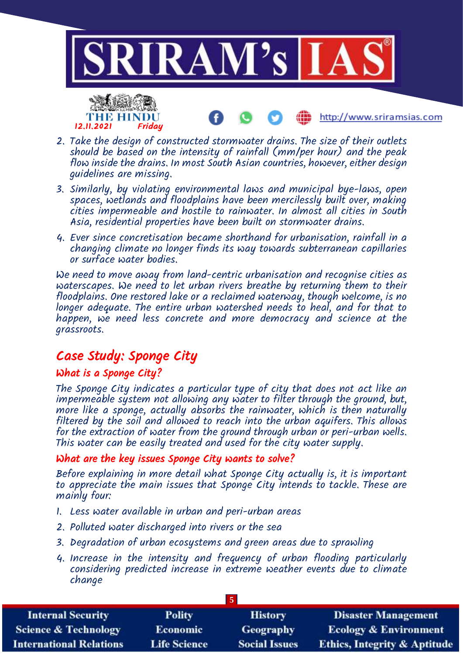

http://www.sriramsias.com



- 2. Take the design of constructed stormwater drains. The size of their outlets should be based on the intensity of rainfall (mm/per hour) and the peak flow inside the drains. In most South Asian countries, however, either design guidelines are missing.
- 3. Similarly, by violating environmental laws and municipal bye-laws, open spaces, wetlands and floodplains have been mercilessly built over, making cities impermeable and hostile to rainwater. In almost all cities in South Asia, residential properties have been built on stormwater drains.
- 4. Ever since concretisation became shorthand for urbanisation, rainfall in a changing climate no longer finds its way towards subterranean capillaries or surface water bodies.

We need to move away from land-centric urbanisation and recognise cities as waterscapes. We need to let urban rivers breathe by returning them to their floodplains. One restored lake or a reclaimed waterway, though welcome, is no longer adequate. The entire urban watershed needs to heal, and for that to happen, we need less concrete and more democracy and science at the grassroots.

# Case Study: Sponge City

## What is a Sponge City?

The Sponge City indicates a particular type of city that does not act like an impermeable system not allowing any water to filter through the ground, but, more like a sponge, actually absorbs the rainwater, which is then naturally filtered by the soil and allowed to reach into the urban aquifers. This allows for the extraction of water from the ground through urban or peri-urban wells. This water can be easily treated and used for the city water supply.

## What are the key issues Sponge City wants to solve?

Before explaining in more detail what Sponge City actually is, it is important to appreciate the main issues that Sponge City intends to tackle. These are mainly four:

- 1. Less water available in urban and peri-urban areas
- 2. Polluted water discharged into rivers or the sea
- 3. Degradation of urban ecosystems and green areas due to sprawling
- 4. Increase in the intensity and frequency of urban flooding particularly considering predicted increase in extreme weather events due to climate change

| <b>Internal Security</b>        | <b>Polity</b>       | <b>History</b>       | <b>Disaster Management</b>              |
|---------------------------------|---------------------|----------------------|-----------------------------------------|
| <b>Science &amp; Technology</b> | <b>Economic</b>     | <b>Geography</b>     | <b>Ecology &amp; Environment</b>        |
| <b>International Relations</b>  | <b>Life Science</b> | <b>Social Issues</b> | <b>Ethics, Integrity &amp; Aptitude</b> |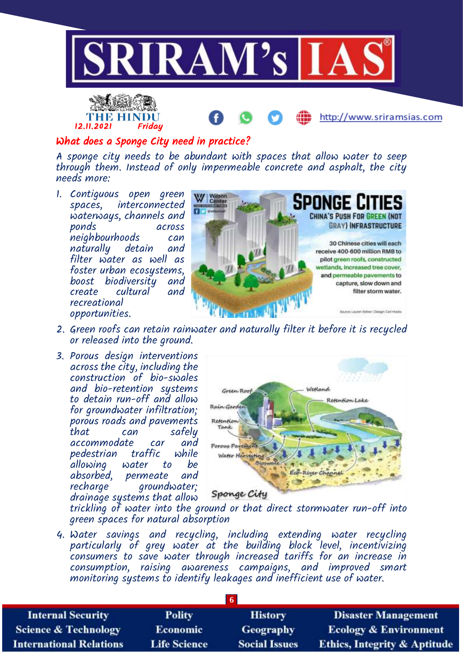



## What does a Sponge City need in practice?

A sponge city needs to be abundant with spaces that allow water to seep through them. Instead of only impermeable concrete and asphalt, the city needs more:

1. Contiguous open green spaces, interconnected waterways, channels and ponds across neighbourhoods can<br>naturally detain and naturally detain filter water as well as foster urban ecosystems, boost biodiversity and create cultural and recreational opportunities.



http://www.sriramsias.com

- 2. Green roofs can retain rainwater and naturally filter it before it is recycled or released into the ground.
- 3. Porous design interventions across the city, including the construction of bio-swales and bio-retention systems to detain run-off and allow for groundwater infiltration; porous roads and pavements can safely accommodate car and<br>pedestrian traffic while pedestrian traffic while allowing water to<br>absorbed, permeate permeate and recharge groundwater; drainage systems that allow



trickling of water into the ground or that direct stormwater run-off into green spaces for natural absorption

4. Water savings and recycling, including extending water recycling particularly of grey water at the building block level, incentivizing consumers to save water through increased tariffs for an increase in consumption, raising awareness campaigns, and improved smart monitoring systems to identify leakages and inefficient use of water.

| <b>Internal Security</b>        | <b>Polity</b>       | <b>History</b>       | <b>Disaster Management</b>              |
|---------------------------------|---------------------|----------------------|-----------------------------------------|
| <b>Science &amp; Technology</b> | <b>Economic</b>     | Geography            | <b>Ecology &amp; Environment</b>        |
| <b>International Relations</b>  | <b>Life Science</b> | <b>Social Issues</b> | <b>Ethics, Integrity &amp; Aptitude</b> |